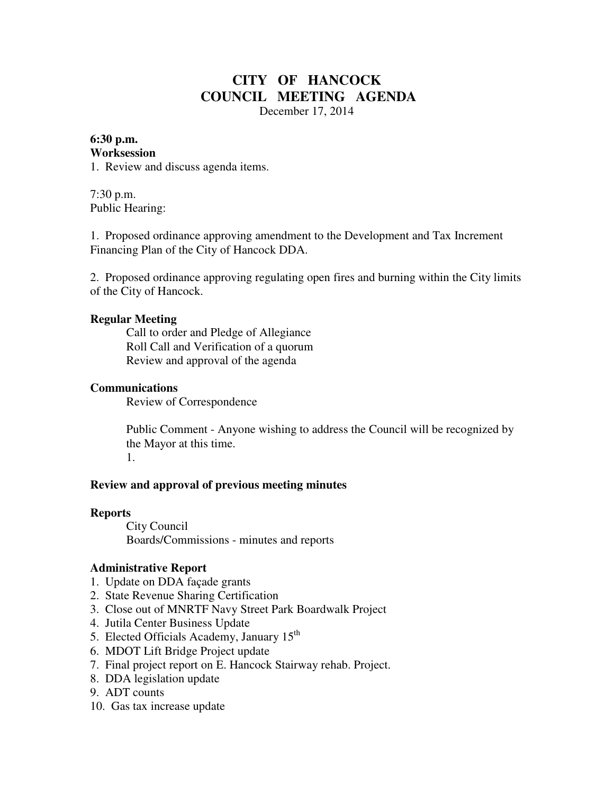# **CITY OF HANCOCK COUNCIL MEETING AGENDA**

December 17, 2014

#### **6:30 p.m. Worksession**

1. Review and discuss agenda items.

7:30 p.m. Public Hearing:

1. Proposed ordinance approving amendment to the Development and Tax Increment Financing Plan of the City of Hancock DDA.

2. Proposed ordinance approving regulating open fires and burning within the City limits of the City of Hancock.

### **Regular Meeting**

 Call to order and Pledge of Allegiance Roll Call and Verification of a quorum Review and approval of the agenda

#### **Communications**

Review of Correspondence

 Public Comment - Anyone wishing to address the Council will be recognized by the Mayor at this time. 1.

#### **Review and approval of previous meeting minutes**

#### **Reports**

City Council Boards/Commissions - minutes and reports

# **Administrative Report**

- 1. Update on DDA façade grants
- 2. State Revenue Sharing Certification
- 3. Close out of MNRTF Navy Street Park Boardwalk Project
- 4. Jutila Center Business Update
- 5. Elected Officials Academy, January 15<sup>th</sup>
- 6. MDOT Lift Bridge Project update
- 7. Final project report on E. Hancock Stairway rehab. Project.
- 8. DDA legislation update
- 9. ADT counts
- 10. Gas tax increase update